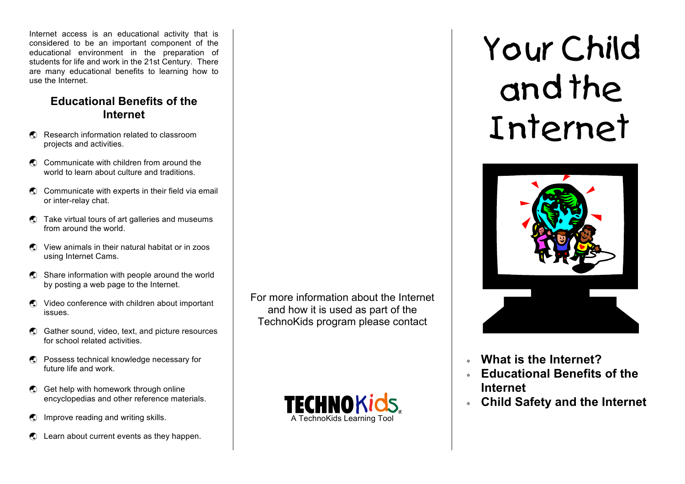Internet access is an educational activity that is considered to be an important component of the educational environment in the preparation of students for life and work in the 21st Century. There are many educational benefits to learning how to use the Internet.

#### **Educational Benefits of the Internet**

- **••** Research information related to classroom projects and activities.
- **••** Communicate with children from around the world to learn about culture and traditions.
- $\odot$  Communicate with experts in their field via email or inter-relay chat.
- $\bigcirc$  Take virtual tours of art galleries and museums from around the world.
- **.** View animals in their natural habitat or in zoos using Internet Cams.
- **.** Share information with people around the world by posting a web page to the Internet.
- $\bigcirc$  Video conference with children about important issues.
- **.** Gather sound, video, text, and picture resources for school related activities.
- **•** Possess technical knowledge necessary for future life and work.
- **••** Get help with homework through online encyclopedias and other reference materials.
- **.** Improve reading and writing skills.
- $\bigcirc$  Learn about current events as they happen.

For more information about the Internet and how it is used as part of the TechnoKids program please contact



# Your Child and the Internet



- <sup>∗</sup> **What is the Internet?**
- <sup>∗</sup> **Educational Benefits of the Internet**
- <sup>∗</sup> **Child Safety and the Internet**